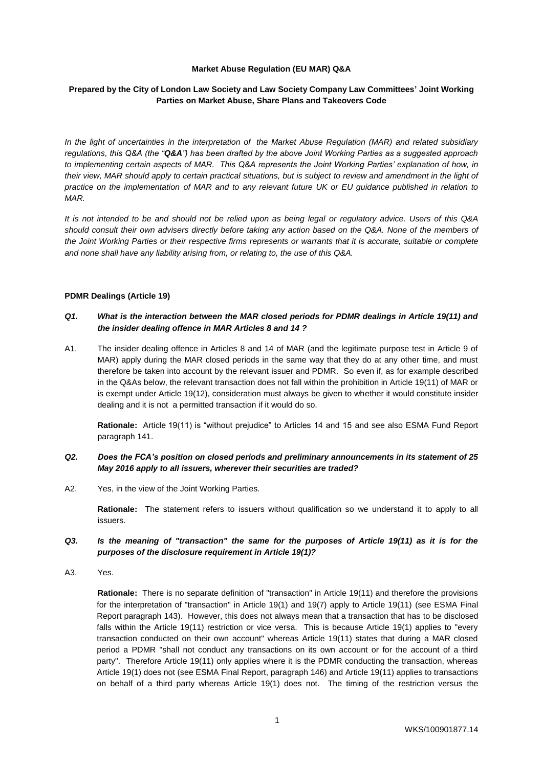#### **Market Abuse Regulation (EU MAR) Q&A**

## **Prepared by the City of London Law Society and Law Society Company Law Committees' Joint Working Parties on Market Abuse, Share Plans and Takeovers Code**

*In the light of uncertainties in the interpretation of the Market Abuse Regulation (MAR) and related subsidiary regulations, this Q&A (the "Q&A") has been drafted by the above Joint Working Parties as a suggested approach to implementing certain aspects of MAR. This Q&A represents the Joint Working Parties' explanation of how, in their view, MAR should apply to certain practical situations, but is subject to review and amendment in the light of practice on the implementation of MAR and to any relevant future UK or EU guidance published in relation to MAR.*

*It is not intended to be and should not be relied upon as being legal or regulatory advice. Users of this Q&A should consult their own advisers directly before taking any action based on the Q&A. None of the members of the Joint Working Parties or their respective firms represents or warrants that it is accurate, suitable or complete and none shall have any liability arising from, or relating to, the use of this Q&A.*

#### **PDMR Dealings (Article 19)**

#### *Q1. What is the interaction between the MAR closed periods for PDMR dealings in Article 19(11) and the insider dealing offence in MAR Articles 8 and 14 ?*

A1. The insider dealing offence in Articles 8 and 14 of MAR (and the legitimate purpose test in Article 9 of MAR) apply during the MAR closed periods in the same way that they do at any other time, and must therefore be taken into account by the relevant issuer and PDMR. So even if, as for example described in the Q&As below, the relevant transaction does not fall within the prohibition in Article 19(11) of MAR or is exempt under Article 19(12), consideration must always be given to whether it would constitute insider dealing and it is not a permitted transaction if it would do so.

**Rationale:** Article 19(11) is "without prejudice" to Articles 14 and 15 and see also ESMA Fund Report paragraph 141.

# *Q2. Does the FCA's position on closed periods and preliminary announcements in its statement of 25 May 2016 apply to all issuers, wherever their securities are traded?*

A2. Yes, in the view of the Joint Working Parties.

**Rationale:** The statement refers to issuers without qualification so we understand it to apply to all issuers.

## *Q3. Is the meaning of "transaction" the same for the purposes of Article 19(11) as it is for the purposes of the disclosure requirement in Article 19(1)?*

A3. Yes.

**Rationale:** There is no separate definition of "transaction" in Article 19(11) and therefore the provisions for the interpretation of "transaction" in Article 19(1) and 19(7) apply to Article 19(11) (see ESMA Final Report paragraph 143). However, this does not always mean that a transaction that has to be disclosed falls within the Article 19(11) restriction or vice versa. This is because Article 19(1) applies to "every transaction conducted on their own account" whereas Article 19(11) states that during a MAR closed period a PDMR "shall not conduct any transactions on its own account or for the account of a third party". Therefore Article 19(11) only applies where it is the PDMR conducting the transaction, whereas Article 19(1) does not (see ESMA Final Report, paragraph 146) and Article 19(11) applies to transactions on behalf of a third party whereas Article 19(1) does not. The timing of the restriction versus the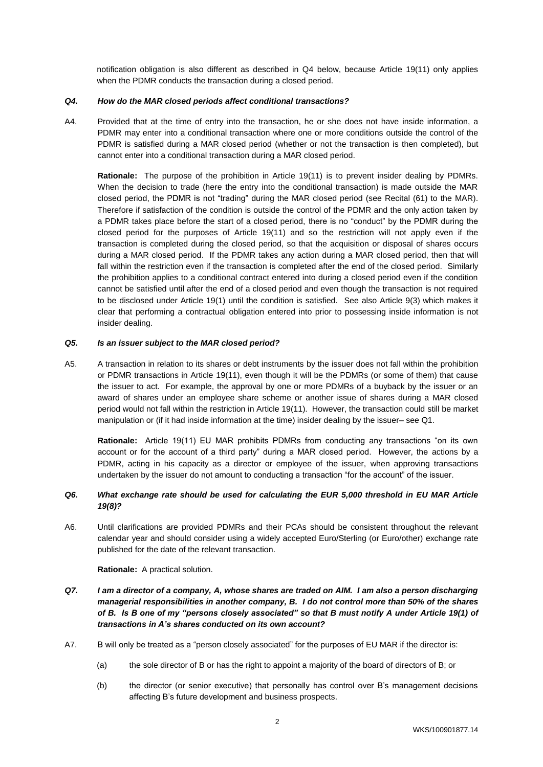notification obligation is also different as described in Q4 below, because Article 19(11) only applies when the PDMR conducts the transaction during a closed period.

#### *Q4. How do the MAR closed periods affect conditional transactions?*

A4. Provided that at the time of entry into the transaction, he or she does not have inside information, a PDMR may enter into a conditional transaction where one or more conditions outside the control of the PDMR is satisfied during a MAR closed period (whether or not the transaction is then completed), but cannot enter into a conditional transaction during a MAR closed period.

**Rationale:** The purpose of the prohibition in Article 19(11) is to prevent insider dealing by PDMRs. When the decision to trade (here the entry into the conditional transaction) is made outside the MAR closed period, the PDMR is not "trading" during the MAR closed period (see Recital (61) to the MAR). Therefore if satisfaction of the condition is outside the control of the PDMR and the only action taken by a PDMR takes place before the start of a closed period, there is no "conduct" by the PDMR during the closed period for the purposes of Article 19(11) and so the restriction will not apply even if the transaction is completed during the closed period, so that the acquisition or disposal of shares occurs during a MAR closed period. If the PDMR takes any action during a MAR closed period, then that will fall within the restriction even if the transaction is completed after the end of the closed period. Similarly the prohibition applies to a conditional contract entered into during a closed period even if the condition cannot be satisfied until after the end of a closed period and even though the transaction is not required to be disclosed under Article 19(1) until the condition is satisfied. See also Article 9(3) which makes it clear that performing a contractual obligation entered into prior to possessing inside information is not insider dealing.

#### *Q5. Is an issuer subject to the MAR closed period?*

A5. A transaction in relation to its shares or debt instruments by the issuer does not fall within the prohibition or PDMR transactions in Article 19(11), even though it will be the PDMRs (or some of them) that cause the issuer to act. For example, the approval by one or more PDMRs of a buyback by the issuer or an award of shares under an employee share scheme or another issue of shares during a MAR closed period would not fall within the restriction in Article 19(11). However, the transaction could still be market manipulation or (if it had inside information at the time) insider dealing by the issuer– see Q1.

**Rationale:** Article 19(11) EU MAR prohibits PDMRs from conducting any transactions "on its own account or for the account of a third party" during a MAR closed period. However, the actions by a PDMR, acting in his capacity as a director or employee of the issuer, when approving transactions undertaken by the issuer do not amount to conducting a transaction "for the account" of the issuer.

## *Q6. What exchange rate should be used for calculating the EUR 5,000 threshold in EU MAR Article 19(8)?*

A6. Until clarifications are provided PDMRs and their PCAs should be consistent throughout the relevant calendar year and should consider using a widely accepted Euro/Sterling (or Euro/other) exchange rate published for the date of the relevant transaction.

**Rationale:** A practical solution.

- *Q7. I am a director of a company, A, whose shares are traded on AIM. I am also a person discharging managerial responsibilities in another company, B. I do not control more than 50% of the shares of B. Is B one of my "persons closely associated" so that B must notify A under Article 19(1) of transactions in A's shares conducted on its own account?*
- A7. B will only be treated as a "person closely associated" for the purposes of EU MAR if the director is:
	- (a) the sole director of B or has the right to appoint a majority of the board of directors of B; or
	- (b) the director (or senior executive) that personally has control over B's management decisions affecting B's future development and business prospects.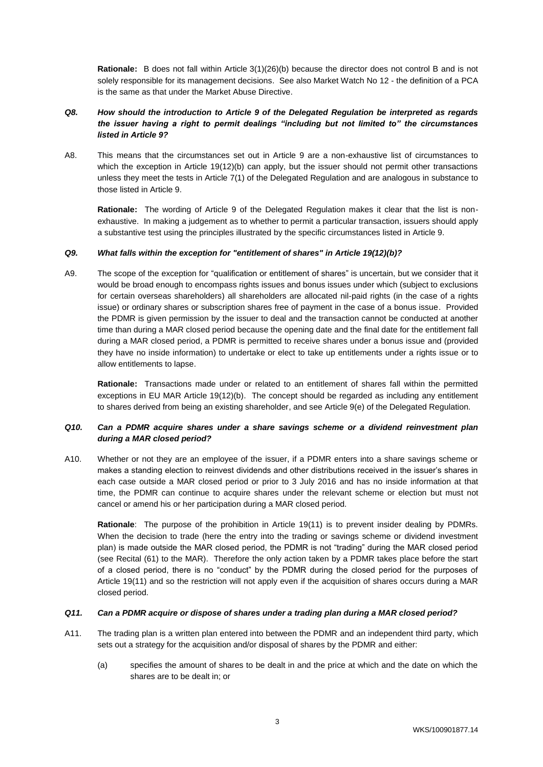**Rationale:** B does not fall within Article 3(1)(26)(b) because the director does not control B and is not solely responsible for its management decisions. See also Market Watch No 12 - the definition of a PCA is the same as that under the Market Abuse Directive.

# *Q8. How should the introduction to Article 9 of the Delegated Regulation be interpreted as regards the issuer having a right to permit dealings "including but not limited to" the circumstances listed in Article 9?*

A8. This means that the circumstances set out in Article 9 are a non-exhaustive list of circumstances to which the exception in Article 19(12)(b) can apply, but the issuer should not permit other transactions unless they meet the tests in Article 7(1) of the Delegated Regulation and are analogous in substance to those listed in Article 9.

**Rationale:** The wording of Article 9 of the Delegated Regulation makes it clear that the list is nonexhaustive. In making a judgement as to whether to permit a particular transaction, issuers should apply a substantive test using the principles illustrated by the specific circumstances listed in Article 9.

## *Q9. What falls within the exception for "entitlement of shares" in Article 19(12)(b)?*

A9. The scope of the exception for "qualification or entitlement of shares" is uncertain, but we consider that it would be broad enough to encompass rights issues and bonus issues under which (subject to exclusions for certain overseas shareholders) all shareholders are allocated nil-paid rights (in the case of a rights issue) or ordinary shares or subscription shares free of payment in the case of a bonus issue. Provided the PDMR is given permission by the issuer to deal and the transaction cannot be conducted at another time than during a MAR closed period because the opening date and the final date for the entitlement fall during a MAR closed period, a PDMR is permitted to receive shares under a bonus issue and (provided they have no inside information) to undertake or elect to take up entitlements under a rights issue or to allow entitlements to lapse.

**Rationale:** Transactions made under or related to an entitlement of shares fall within the permitted exceptions in EU MAR Article 19(12)(b). The concept should be regarded as including any entitlement to shares derived from being an existing shareholder, and see Article 9(e) of the Delegated Regulation.

## *Q10. Can a PDMR acquire shares under a share savings scheme or a dividend reinvestment plan during a MAR closed period?*

A10. Whether or not they are an employee of the issuer, if a PDMR enters into a share savings scheme or makes a standing election to reinvest dividends and other distributions received in the issuer's shares in each case outside a MAR closed period or prior to 3 July 2016 and has no inside information at that time, the PDMR can continue to acquire shares under the relevant scheme or election but must not cancel or amend his or her participation during a MAR closed period.

**Rationale**: The purpose of the prohibition in Article 19(11) is to prevent insider dealing by PDMRs. When the decision to trade (here the entry into the trading or savings scheme or dividend investment plan) is made outside the MAR closed period, the PDMR is not "trading" during the MAR closed period (see Recital (61) to the MAR). Therefore the only action taken by a PDMR takes place before the start of a closed period, there is no "conduct" by the PDMR during the closed period for the purposes of Article 19(11) and so the restriction will not apply even if the acquisition of shares occurs during a MAR closed period.

# *Q11. Can a PDMR acquire or dispose of shares under a trading plan during a MAR closed period?*

- A11. The trading plan is a written plan entered into between the PDMR and an independent third party, which sets out a strategy for the acquisition and/or disposal of shares by the PDMR and either:
	- (a) specifies the amount of shares to be dealt in and the price at which and the date on which the shares are to be dealt in; or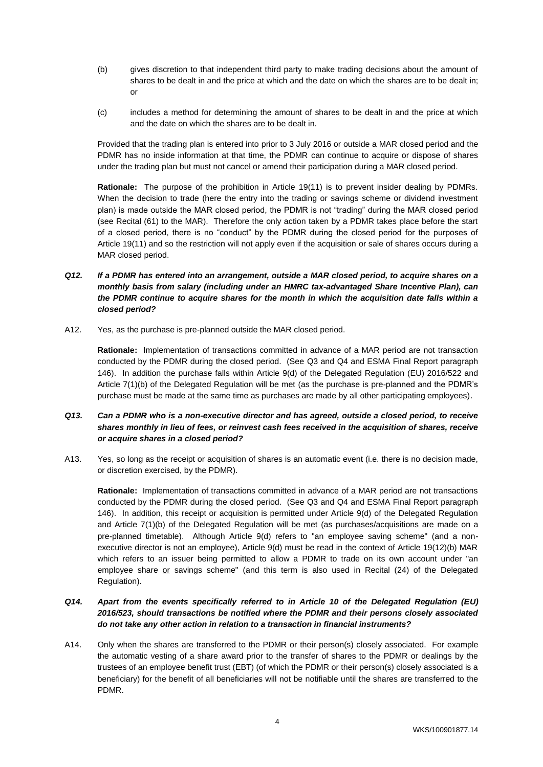- (b) gives discretion to that independent third party to make trading decisions about the amount of shares to be dealt in and the price at which and the date on which the shares are to be dealt in; or
- (c) includes a method for determining the amount of shares to be dealt in and the price at which and the date on which the shares are to be dealt in.

Provided that the trading plan is entered into prior to 3 July 2016 or outside a MAR closed period and the PDMR has no inside information at that time, the PDMR can continue to acquire or dispose of shares under the trading plan but must not cancel or amend their participation during a MAR closed period.

**Rationale:** The purpose of the prohibition in Article 19(11) is to prevent insider dealing by PDMRs. When the decision to trade (here the entry into the trading or savings scheme or dividend investment plan) is made outside the MAR closed period, the PDMR is not "trading" during the MAR closed period (see Recital (61) to the MAR). Therefore the only action taken by a PDMR takes place before the start of a closed period, there is no "conduct" by the PDMR during the closed period for the purposes of Article 19(11) and so the restriction will not apply even if the acquisition or sale of shares occurs during a MAR closed period.

- *Q12. If a PDMR has entered into an arrangement, outside a MAR closed period, to acquire shares on a monthly basis from salary (including under an HMRC tax-advantaged Share Incentive Plan), can the PDMR continue to acquire shares for the month in which the acquisition date falls within a closed period?*
- A12. Yes, as the purchase is pre-planned outside the MAR closed period.

**Rationale:** Implementation of transactions committed in advance of a MAR period are not transaction conducted by the PDMR during the closed period. (See Q3 and Q4 and ESMA Final Report paragraph 146). In addition the purchase falls within Article 9(d) of the Delegated Regulation (EU) 2016/522 and Article 7(1)(b) of the Delegated Regulation will be met (as the purchase is pre-planned and the PDMR's purchase must be made at the same time as purchases are made by all other participating employees).

# *Q13. Can a PDMR who is a non-executive director and has agreed, outside a closed period, to receive shares monthly in lieu of fees, or reinvest cash fees received in the acquisition of shares, receive or acquire shares in a closed period?*

A13. Yes, so long as the receipt or acquisition of shares is an automatic event (i.e. there is no decision made, or discretion exercised, by the PDMR).

**Rationale:** Implementation of transactions committed in advance of a MAR period are not transactions conducted by the PDMR during the closed period. (See Q3 and Q4 and ESMA Final Report paragraph 146). In addition, this receipt or acquisition is permitted under Article 9(d) of the Delegated Regulation and Article 7(1)(b) of the Delegated Regulation will be met (as purchases/acquisitions are made on a pre-planned timetable). Although Article 9(d) refers to "an employee saving scheme" (and a nonexecutive director is not an employee), Article 9(d) must be read in the context of Article 19(12)(b) MAR which refers to an issuer being permitted to allow a PDMR to trade on its own account under "an employee share or savings scheme" (and this term is also used in Recital (24) of the Delegated Regulation).

# *Q14. Apart from the events specifically referred to in Article 10 of the Delegated Regulation (EU) 2016/523, should transactions be notified where the PDMR and their persons closely associated do not take any other action in relation to a transaction in financial instruments?*

A14. Only when the shares are transferred to the PDMR or their person(s) closely associated. For example the automatic vesting of a share award prior to the transfer of shares to the PDMR or dealings by the trustees of an employee benefit trust (EBT) (of which the PDMR or their person(s) closely associated is a beneficiary) for the benefit of all beneficiaries will not be notifiable until the shares are transferred to the PDMR.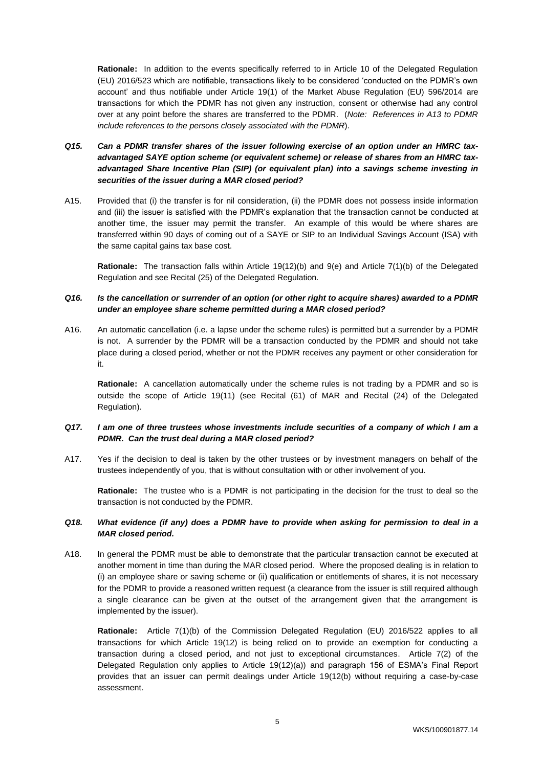**Rationale:** In addition to the events specifically referred to in Article 10 of the Delegated Regulation (EU) 2016/523 which are notifiable, transactions likely to be considered 'conducted on the PDMR's own account' and thus notifiable under Article 19(1) of the Market Abuse Regulation (EU) 596/2014 are transactions for which the PDMR has not given any instruction, consent or otherwise had any control over at any point before the shares are transferred to the PDMR. (*Note: References in A13 to PDMR include references to the persons closely associated with the PDMR*).

# *Q15. Can a PDMR transfer shares of the issuer following exercise of an option under an HMRC taxadvantaged SAYE option scheme (or equivalent scheme) or release of shares from an HMRC taxadvantaged Share Incentive Plan (SIP) (or equivalent plan) into a savings scheme investing in securities of the issuer during a MAR closed period?*

A15. Provided that (i) the transfer is for nil consideration, (ii) the PDMR does not possess inside information and (iii) the issuer is satisfied with the PDMR's explanation that the transaction cannot be conducted at another time, the issuer may permit the transfer. An example of this would be where shares are transferred within 90 days of coming out of a SAYE or SIP to an Individual Savings Account (ISA) with the same capital gains tax base cost.

**Rationale:** The transaction falls within Article 19(12)(b) and 9(e) and Article 7(1)(b) of the Delegated Regulation and see Recital (25) of the Delegated Regulation.

## *Q16. Is the cancellation or surrender of an option (or other right to acquire shares) awarded to a PDMR under an employee share scheme permitted during a MAR closed period?*

A16. An automatic cancellation (i.e. a lapse under the scheme rules) is permitted but a surrender by a PDMR is not. A surrender by the PDMR will be a transaction conducted by the PDMR and should not take place during a closed period, whether or not the PDMR receives any payment or other consideration for it.

**Rationale:** A cancellation automatically under the scheme rules is not trading by a PDMR and so is outside the scope of Article 19(11) (see Recital (61) of MAR and Recital (24) of the Delegated Regulation).

## *Q17. I am one of three trustees whose investments include securities of a company of which I am a PDMR. Can the trust deal during a MAR closed period?*

A17. Yes if the decision to deal is taken by the other trustees or by investment managers on behalf of the trustees independently of you, that is without consultation with or other involvement of you.

**Rationale:** The trustee who is a PDMR is not participating in the decision for the trust to deal so the transaction is not conducted by the PDMR.

## *Q18. What evidence (if any) does a PDMR have to provide when asking for permission to deal in a MAR closed period.*

A18. In general the PDMR must be able to demonstrate that the particular transaction cannot be executed at another moment in time than during the MAR closed period. Where the proposed dealing is in relation to (i) an employee share or saving scheme or (ii) qualification or entitlements of shares, it is not necessary for the PDMR to provide a reasoned written request (a clearance from the issuer is still required although a single clearance can be given at the outset of the arrangement given that the arrangement is implemented by the issuer).

**Rationale:** Article 7(1)(b) of the Commission Delegated Regulation (EU) 2016/522 applies to all transactions for which Article 19(12) is being relied on to provide an exemption for conducting a transaction during a closed period, and not just to exceptional circumstances. Article 7(2) of the Delegated Regulation only applies to Article 19(12)(a)) and paragraph 156 of ESMA's Final Report provides that an issuer can permit dealings under Article 19(12(b) without requiring a case-by-case assessment.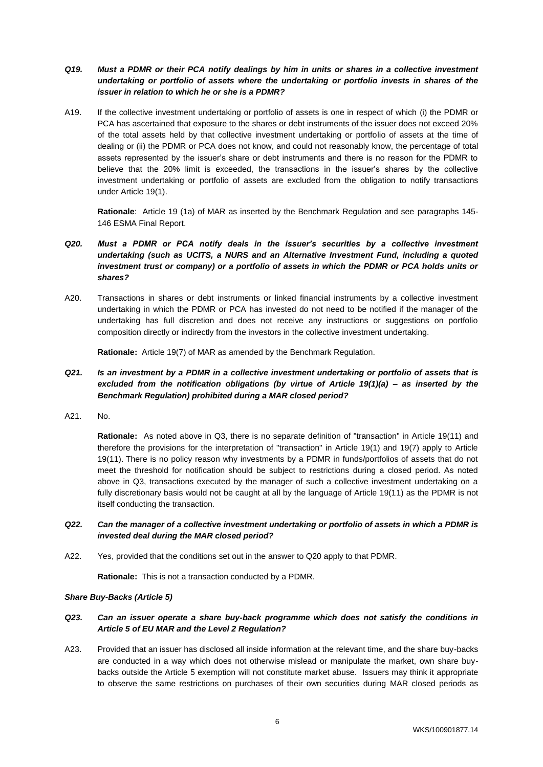- *Q19. Must a PDMR or their PCA notify dealings by him in units or shares in a collective investment undertaking or portfolio of assets where the undertaking or portfolio invests in shares of the issuer in relation to which he or she is a PDMR?*
- A19. If the collective investment undertaking or portfolio of assets is one in respect of which (i) the PDMR or PCA has ascertained that exposure to the shares or debt instruments of the issuer does not exceed 20% of the total assets held by that collective investment undertaking or portfolio of assets at the time of dealing or (ii) the PDMR or PCA does not know, and could not reasonably know, the percentage of total assets represented by the issuer's share or debt instruments and there is no reason for the PDMR to believe that the 20% limit is exceeded, the transactions in the issuer's shares by the collective investment undertaking or portfolio of assets are excluded from the obligation to notify transactions under Article 19(1).

**Rationale**: Article 19 (1a) of MAR as inserted by the Benchmark Regulation and see paragraphs 145- 146 ESMA Final Report.

- *Q20. Must a PDMR or PCA notify deals in the issuer's securities by a collective investment undertaking (such as UCITS, a NURS and an Alternative Investment Fund, including a quoted investment trust or company) or a portfolio of assets in which the PDMR or PCA holds units or shares?*
- A20. Transactions in shares or debt instruments or linked financial instruments by a collective investment undertaking in which the PDMR or PCA has invested do not need to be notified if the manager of the undertaking has full discretion and does not receive any instructions or suggestions on portfolio composition directly or indirectly from the investors in the collective investment undertaking.

**Rationale:** Article 19(7) of MAR as amended by the Benchmark Regulation.

# *Q21. Is an investment by a PDMR in a collective investment undertaking or portfolio of assets that is excluded from the notification obligations (by virtue of Article 19(1)(a) – as inserted by the Benchmark Regulation) prohibited during a MAR closed period?*

A21. No.

**Rationale:** As noted above in Q3, there is no separate definition of "transaction" in Article 19(11) and therefore the provisions for the interpretation of "transaction" in Article 19(1) and 19(7) apply to Article 19(11). There is no policy reason why investments by a PDMR in funds/portfolios of assets that do not meet the threshold for notification should be subject to restrictions during a closed period. As noted above in Q3, transactions executed by the manager of such a collective investment undertaking on a fully discretionary basis would not be caught at all by the language of Article 19(11) as the PDMR is not itself conducting the transaction.

- *Q22. Can the manager of a collective investment undertaking or portfolio of assets in which a PDMR is invested deal during the MAR closed period?*
- A22. Yes, provided that the conditions set out in the answer to Q20 apply to that PDMR.

**Rationale:** This is not a transaction conducted by a PDMR.

## *Share Buy-Backs (Article 5)*

## *Q23. Can an issuer operate a share buy-back programme which does not satisfy the conditions in Article 5 of EU MAR and the Level 2 Regulation?*

A23. Provided that an issuer has disclosed all inside information at the relevant time, and the share buy-backs are conducted in a way which does not otherwise mislead or manipulate the market, own share buybacks outside the Article 5 exemption will not constitute market abuse. Issuers may think it appropriate to observe the same restrictions on purchases of their own securities during MAR closed periods as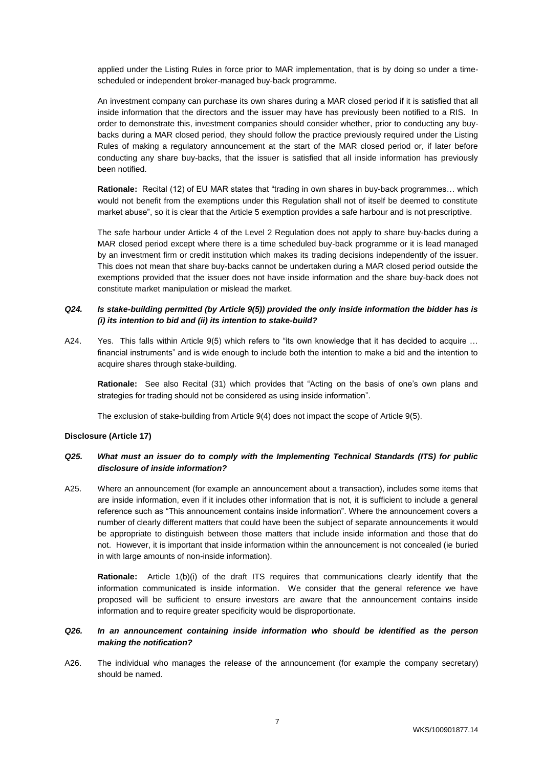applied under the Listing Rules in force prior to MAR implementation, that is by doing so under a timescheduled or independent broker-managed buy-back programme.

An investment company can purchase its own shares during a MAR closed period if it is satisfied that all inside information that the directors and the issuer may have has previously been notified to a RIS. In order to demonstrate this, investment companies should consider whether, prior to conducting any buybacks during a MAR closed period, they should follow the practice previously required under the Listing Rules of making a regulatory announcement at the start of the MAR closed period or, if later before conducting any share buy-backs, that the issuer is satisfied that all inside information has previously been notified.

**Rationale:** Recital (12) of EU MAR states that "trading in own shares in buy-back programmes… which would not benefit from the exemptions under this Regulation shall not of itself be deemed to constitute market abuse", so it is clear that the Article 5 exemption provides a safe harbour and is not prescriptive.

The safe harbour under Article 4 of the Level 2 Regulation does not apply to share buy-backs during a MAR closed period except where there is a time scheduled buy-back programme or it is lead managed by an investment firm or credit institution which makes its trading decisions independently of the issuer. This does not mean that share buy-backs cannot be undertaken during a MAR closed period outside the exemptions provided that the issuer does not have inside information and the share buy-back does not constitute market manipulation or mislead the market.

## *Q24. Is stake-building permitted (by Article 9(5)) provided the only inside information the bidder has is (i) its intention to bid and (ii) its intention to stake-build?*

A24. Yes. This falls within Article 9(5) which refers to "its own knowledge that it has decided to acquire ... financial instruments" and is wide enough to include both the intention to make a bid and the intention to acquire shares through stake-building.

**Rationale:** See also Recital (31) which provides that "Acting on the basis of one's own plans and strategies for trading should not be considered as using inside information".

The exclusion of stake-building from Article 9(4) does not impact the scope of Article 9(5).

## **Disclosure (Article 17)**

# *Q25. What must an issuer do to comply with the Implementing Technical Standards (ITS) for public disclosure of inside information?*

A25. Where an announcement (for example an announcement about a transaction), includes some items that are inside information, even if it includes other information that is not, it is sufficient to include a general reference such as "This announcement contains inside information". Where the announcement covers a number of clearly different matters that could have been the subject of separate announcements it would be appropriate to distinguish between those matters that include inside information and those that do not. However, it is important that inside information within the announcement is not concealed (ie buried in with large amounts of non-inside information).

**Rationale:** Article 1(b)(i) of the draft ITS requires that communications clearly identify that the information communicated is inside information. We consider that the general reference we have proposed will be sufficient to ensure investors are aware that the announcement contains inside information and to require greater specificity would be disproportionate.

## *Q26. In an announcement containing inside information who should be identified as the person making the notification?*

A26. The individual who manages the release of the announcement (for example the company secretary) should be named.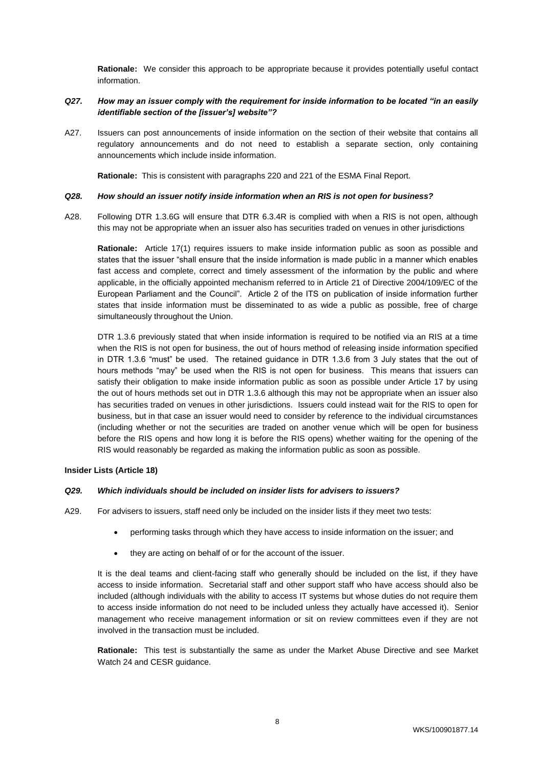**Rationale:** We consider this approach to be appropriate because it provides potentially useful contact information.

## *Q27. How may an issuer comply with the requirement for inside information to be located "in an easily identifiable section of the [issuer's] website"?*

A27. Issuers can post announcements of inside information on the section of their website that contains all regulatory announcements and do not need to establish a separate section, only containing announcements which include inside information.

**Rationale:** This is consistent with paragraphs 220 and 221 of the ESMA Final Report.

#### *Q28. How should an issuer notify inside information when an RIS is not open for business?*

A28. Following DTR 1.3.6G will ensure that DTR 6.3.4R is complied with when a RIS is not open, although this may not be appropriate when an issuer also has securities traded on venues in other jurisdictions

**Rationale:** Article 17(1) requires issuers to make inside information public as soon as possible and states that the issuer "shall ensure that the inside information is made public in a manner which enables fast access and complete, correct and timely assessment of the information by the public and where applicable, in the officially appointed mechanism referred to in Article 21 of Directive 2004/109/EC of the European Parliament and the Council". Article 2 of the ITS on publication of inside information further states that inside information must be disseminated to as wide a public as possible, free of charge simultaneously throughout the Union.

DTR 1.3.6 previously stated that when inside information is required to be notified via an RIS at a time when the RIS is not open for business, the out of hours method of releasing inside information specified in DTR 1.3.6 "must" be used. The retained guidance in DTR 1.3.6 from 3 July states that the out of hours methods "may" be used when the RIS is not open for business. This means that issuers can satisfy their obligation to make inside information public as soon as possible under Article 17 by using the out of hours methods set out in DTR 1.3.6 although this may not be appropriate when an issuer also has securities traded on venues in other jurisdictions. Issuers could instead wait for the RIS to open for business, but in that case an issuer would need to consider by reference to the individual circumstances (including whether or not the securities are traded on another venue which will be open for business before the RIS opens and how long it is before the RIS opens) whether waiting for the opening of the RIS would reasonably be regarded as making the information public as soon as possible.

## **Insider Lists (Article 18)**

#### *Q29. Which individuals should be included on insider lists for advisers to issuers?*

- A29. For advisers to issuers, staff need only be included on the insider lists if they meet two tests:
	- performing tasks through which they have access to inside information on the issuer; and
	- they are acting on behalf of or for the account of the issuer.

It is the deal teams and client-facing staff who generally should be included on the list, if they have access to inside information. Secretarial staff and other support staff who have access should also be included (although individuals with the ability to access IT systems but whose duties do not require them to access inside information do not need to be included unless they actually have accessed it). Senior management who receive management information or sit on review committees even if they are not involved in the transaction must be included.

**Rationale:** This test is substantially the same as under the Market Abuse Directive and see Market Watch 24 and CESR guidance.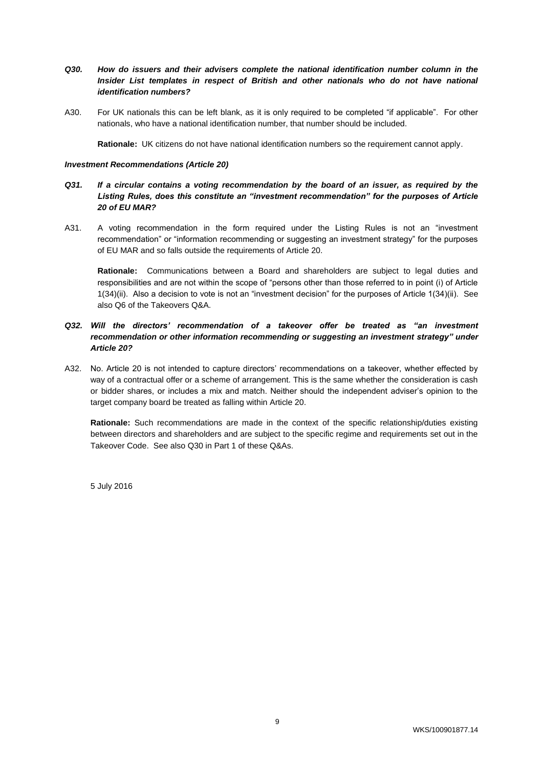## *Q30. How do issuers and their advisers complete the national identification number column in the Insider List templates in respect of British and other nationals who do not have national identification numbers?*

A30. For UK nationals this can be left blank, as it is only required to be completed "if applicable". For other nationals, who have a national identification number, that number should be included.

**Rationale:** UK citizens do not have national identification numbers so the requirement cannot apply.

#### *Investment Recommendations (Article 20)*

# *Q31. If a circular contains a voting recommendation by the board of an issuer, as required by the Listing Rules, does this constitute an "investment recommendation" for the purposes of Article 20 of EU MAR?*

A31. A voting recommendation in the form required under the Listing Rules is not an "investment recommendation" or "information recommending or suggesting an investment strategy" for the purposes of EU MAR and so falls outside the requirements of Article 20.

**Rationale:** Communications between a Board and shareholders are subject to legal duties and responsibilities and are not within the scope of "persons other than those referred to in point (i) of Article 1(34)(ii). Also a decision to vote is not an "investment decision" for the purposes of Article 1(34)(ii). See also Q6 of the Takeovers Q&A.

# *Q32. Will the directors' recommendation of a takeover offer be treated as "an investment recommendation or other information recommending or suggesting an investment strategy" under Article 20?*

A32. No. Article 20 is not intended to capture directors' recommendations on a takeover, whether effected by way of a contractual offer or a scheme of arrangement. This is the same whether the consideration is cash or bidder shares, or includes a mix and match. Neither should the independent adviser's opinion to the target company board be treated as falling within Article 20.

**Rationale:** Such recommendations are made in the context of the specific relationship/duties existing between directors and shareholders and are subject to the specific regime and requirements set out in the Takeover Code. See also Q30 in Part 1 of these Q&As.

5 July 2016